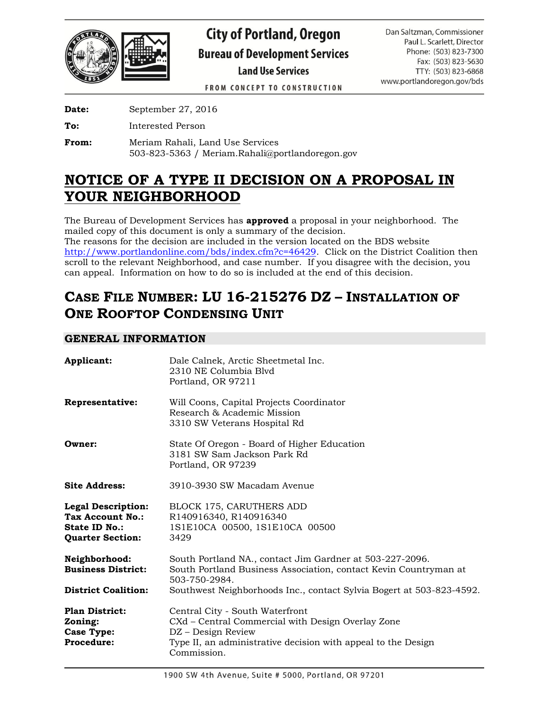

# **City of Portland, Oregon Bureau of Development Services Land Use Services**

Dan Saltzman, Commissioner Paul L. Scarlett, Director Phone: (503) 823-7300 Fax: (503) 823-5630 TTY: (503) 823-6868 www.portlandoregon.gov/bds

**FROM CONCEPT TO CONSTRUCTION** 

**Date:** September 27, 2016

**To:** Interested Person

**From:** Meriam Rahali, Land Use Services 503-823-5363 / Meriam.Rahali@portlandoregon.gov

# **NOTICE OF A TYPE II DECISION ON A PROPOSAL IN YOUR NEIGHBORHOOD**

The Bureau of Development Services has **approved** a proposal in your neighborhood. The mailed copy of this document is only a summary of the decision.

The reasons for the decision are included in the version located on the BDS website [http://www.portlandonline.com/bds/index.cfm?c=46429.](http://www.portlandonline.com/bds/index.cfm?c=46429) Click on the District Coalition then scroll to the relevant Neighborhood, and case number. If you disagree with the decision, you can appeal. Information on how to do so is included at the end of this decision.

# **CASE FILE NUMBER: LU 16-215276 DZ – INSTALLATION OF ONE ROOFTOP CONDENSING UNIT**

# **GENERAL INFORMATION**

| Applicant:                                                                                | Dale Calnek, Arctic Sheetmetal Inc.<br>2310 NE Columbia Blyd<br>Portland, OR 97211                                                                                                         |
|-------------------------------------------------------------------------------------------|--------------------------------------------------------------------------------------------------------------------------------------------------------------------------------------------|
| Representative:                                                                           | Will Coons, Capital Projects Coordinator<br>Research & Academic Mission<br>3310 SW Veterans Hospital Rd                                                                                    |
| Owner:                                                                                    | State Of Oregon - Board of Higher Education<br>3181 SW Sam Jackson Park Rd<br>Portland, OR 97239                                                                                           |
| <b>Site Address:</b>                                                                      | 3910-3930 SW Macadam Avenue                                                                                                                                                                |
| <b>Legal Description:</b><br>Tax Account No.:<br>State ID No.:<br><b>Quarter Section:</b> | <b>BLOCK 175, CARUTHERS ADD</b><br>R140916340, R140916340<br>1S1E10CA 00500, 1S1E10CA 00500<br>3429                                                                                        |
| Neighborhood:<br><b>Business District:</b>                                                | South Portland NA., contact Jim Gardner at 503-227-2096.<br>South Portland Business Association, contact Kevin Countryman at<br>503-750-2984.                                              |
| <b>District Coalition:</b>                                                                | Southwest Neighborhoods Inc., contact Sylvia Bogert at 503-823-4592.                                                                                                                       |
| <b>Plan District:</b><br>Zoning:<br><b>Case Type:</b><br><b>Procedure:</b>                | Central City - South Waterfront<br>CXd – Central Commercial with Design Overlay Zone<br>DZ – Design Review<br>Type II, an administrative decision with appeal to the Design<br>Commission. |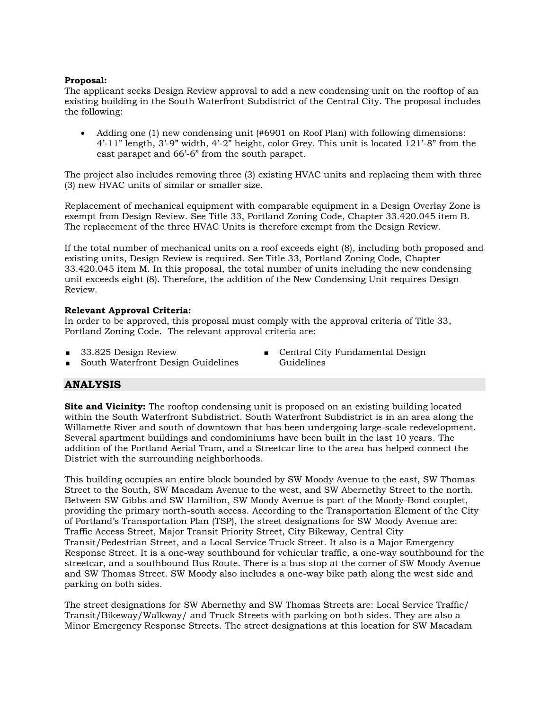# **Proposal:**

The applicant seeks Design Review approval to add a new condensing unit on the rooftop of an existing building in the South Waterfront Subdistrict of the Central City. The proposal includes the following:

 Adding one (1) new condensing unit (#6901 on Roof Plan) with following dimensions: 4'-11" length, 3'-9" width, 4'-2" height, color Grey. This unit is located 121'-8" from the east parapet and 66'-6" from the south parapet.

The project also includes removing three (3) existing HVAC units and replacing them with three (3) new HVAC units of similar or smaller size.

Replacement of mechanical equipment with comparable equipment in a Design Overlay Zone is exempt from Design Review. See Title 33, Portland Zoning Code, Chapter 33.420.045 item B. The replacement of the three HVAC Units is therefore exempt from the Design Review.

If the total number of mechanical units on a roof exceeds eight (8), including both proposed and existing units, Design Review is required. See Title 33, Portland Zoning Code, Chapter 33.420.045 item M. In this proposal, the total number of units including the new condensing unit exceeds eight (8). Therefore, the addition of the New Condensing Unit requires Design Review.

#### **Relevant Approval Criteria:**

In order to be approved, this proposal must comply with the approval criteria of Title 33, Portland Zoning Code. The relevant approval criteria are:

33.825 Design Review

South Waterfront Design Guidelines

**Central City Fundamental Design** Guidelines

# **ANALYSIS**

**Site and Vicinity:** The rooftop condensing unit is proposed on an existing building located within the South Waterfront Subdistrict. South Waterfront Subdistrict is in an area along the Willamette River and south of downtown that has been undergoing large-scale redevelopment. Several apartment buildings and condominiums have been built in the last 10 years. The addition of the Portland Aerial Tram, and a Streetcar line to the area has helped connect the District with the surrounding neighborhoods.

This building occupies an entire block bounded by SW Moody Avenue to the east, SW Thomas Street to the South, SW Macadam Avenue to the west, and SW Abernethy Street to the north. Between SW Gibbs and SW Hamilton, SW Moody Avenue is part of the Moody-Bond couplet, providing the primary north-south access. According to the Transportation Element of the City of Portland's Transportation Plan (TSP), the street designations for SW Moody Avenue are: Traffic Access Street, Major Transit Priority Street, City Bikeway, Central City Transit/Pedestrian Street, and a Local Service Truck Street. It also is a Major Emergency Response Street. It is a one-way southbound for vehicular traffic, a one-way southbound for the streetcar, and a southbound Bus Route. There is a bus stop at the corner of SW Moody Avenue and SW Thomas Street. SW Moody also includes a one-way bike path along the west side and parking on both sides.

The street designations for SW Abernethy and SW Thomas Streets are: Local Service Traffic/ Transit/Bikeway/Walkway/ and Truck Streets with parking on both sides. They are also a Minor Emergency Response Streets. The street designations at this location for SW Macadam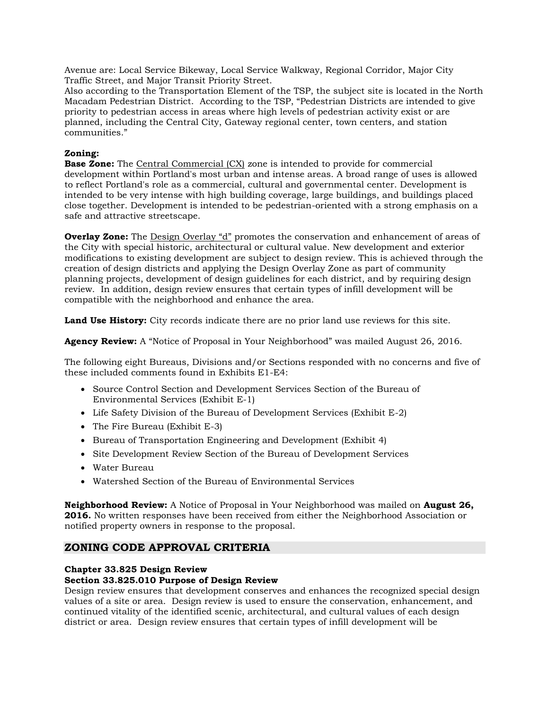Avenue are: Local Service Bikeway, Local Service Walkway, Regional Corridor, Major City Traffic Street, and Major Transit Priority Street.

Also according to the Transportation Element of the TSP, the subject site is located in the North Macadam Pedestrian District. According to the TSP, "Pedestrian Districts are intended to give priority to pedestrian access in areas where high levels of pedestrian activity exist or are planned, including the Central City, Gateway regional center, town centers, and station communities."

## **Zoning:**

**Base Zone:** The Central Commercial (CX) zone is intended to provide for commercial development within Portland's most urban and intense areas. A broad range of uses is allowed to reflect Portland's role as a commercial, cultural and governmental center. Development is intended to be very intense with high building coverage, large buildings, and buildings placed close together. Development is intended to be pedestrian-oriented with a strong emphasis on a safe and attractive streetscape.

**Overlay Zone:** The Design Overlay "d" promotes the conservation and enhancement of areas of the City with special historic, architectural or cultural value. New development and exterior modifications to existing development are subject to design review. This is achieved through the creation of design districts and applying the Design Overlay Zone as part of community planning projects, development of design guidelines for each district, and by requiring design review. In addition, design review ensures that certain types of infill development will be compatible with the neighborhood and enhance the area.

**Land Use History:** City records indicate there are no prior land use reviews for this site.

**Agency Review:** A "Notice of Proposal in Your Neighborhood" was mailed August 26, 2016.

The following eight Bureaus, Divisions and/or Sections responded with no concerns and five of these included comments found in Exhibits E1-E4:

- Source Control Section and Development Services Section of the Bureau of Environmental Services (Exhibit E-1)
- Life Safety Division of the Bureau of Development Services (Exhibit E-2)
- The Fire Bureau (Exhibit E-3)
- Bureau of Transportation Engineering and Development (Exhibit 4)
- Site Development Review Section of the Bureau of Development Services
- Water Bureau
- Watershed Section of the Bureau of Environmental Services

**Neighborhood Review:** A Notice of Proposal in Your Neighborhood was mailed on **August 26, 2016.** No written responses have been received from either the Neighborhood Association or notified property owners in response to the proposal.

# **ZONING CODE APPROVAL CRITERIA**

#### **Chapter 33.825 Design Review**

#### **Section 33.825.010 Purpose of Design Review**

Design review ensures that development conserves and enhances the recognized special design values of a site or area. Design review is used to ensure the conservation, enhancement, and continued vitality of the identified scenic, architectural, and cultural values of each design district or area. Design review ensures that certain types of infill development will be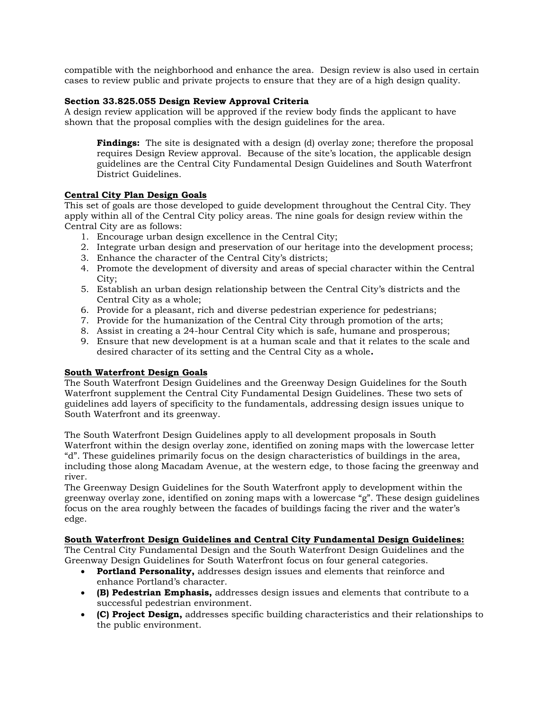compatible with the neighborhood and enhance the area. Design review is also used in certain cases to review public and private projects to ensure that they are of a high design quality.

## **Section 33.825.055 Design Review Approval Criteria**

A design review application will be approved if the review body finds the applicant to have shown that the proposal complies with the design guidelines for the area.

**Findings:** The site is designated with a design (d) overlay zone; therefore the proposal requires Design Review approval. Because of the site's location, the applicable design guidelines are the Central City Fundamental Design Guidelines and South Waterfront District Guidelines.

### **Central City Plan Design Goals**

This set of goals are those developed to guide development throughout the Central City. They apply within all of the Central City policy areas. The nine goals for design review within the Central City are as follows:

- 1. Encourage urban design excellence in the Central City;
- 2. Integrate urban design and preservation of our heritage into the development process;
- 3. Enhance the character of the Central City's districts;
- 4. Promote the development of diversity and areas of special character within the Central City;
- 5. Establish an urban design relationship between the Central City's districts and the Central City as a whole;
- 6. Provide for a pleasant, rich and diverse pedestrian experience for pedestrians;
- 7. Provide for the humanization of the Central City through promotion of the arts;
- 8. Assist in creating a 24-hour Central City which is safe, humane and prosperous;
- 9. Ensure that new development is at a human scale and that it relates to the scale and desired character of its setting and the Central City as a whole**.**

#### **South Waterfront Design Goals**

The South Waterfront Design Guidelines and the Greenway Design Guidelines for the South Waterfront supplement the Central City Fundamental Design Guidelines. These two sets of guidelines add layers of specificity to the fundamentals, addressing design issues unique to South Waterfront and its greenway.

The South Waterfront Design Guidelines apply to all development proposals in South Waterfront within the design overlay zone, identified on zoning maps with the lowercase letter "d". These guidelines primarily focus on the design characteristics of buildings in the area, including those along Macadam Avenue, at the western edge, to those facing the greenway and river.

The Greenway Design Guidelines for the South Waterfront apply to development within the greenway overlay zone, identified on zoning maps with a lowercase "g". These design guidelines focus on the area roughly between the facades of buildings facing the river and the water's edge.

#### **South Waterfront Design Guidelines and Central City Fundamental Design Guidelines:**

The Central City Fundamental Design and the South Waterfront Design Guidelines and the Greenway Design Guidelines for South Waterfront focus on four general categories.

- **Portland Personality,** addresses design issues and elements that reinforce and enhance Portland's character.
- **(B) Pedestrian Emphasis,** addresses design issues and elements that contribute to a successful pedestrian environment.
- **(C) Project Design,** addresses specific building characteristics and their relationships to the public environment.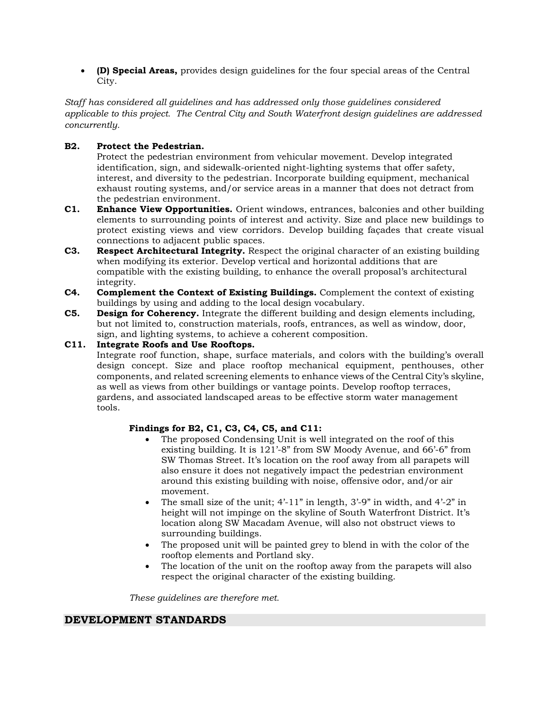**(D) Special Areas,** provides design guidelines for the four special areas of the Central City.

*Staff has considered all guidelines and has addressed only those guidelines considered applicable to this project. The Central City and South Waterfront design guidelines are addressed concurrently.*

# **B2. Protect the Pedestrian.**

Protect the pedestrian environment from vehicular movement. Develop integrated identification, sign, and sidewalk-oriented night-lighting systems that offer safety, interest, and diversity to the pedestrian. Incorporate building equipment, mechanical exhaust routing systems, and/or service areas in a manner that does not detract from the pedestrian environment.

- **C1. Enhance View Opportunities.** Orient windows, entrances, balconies and other building elements to surrounding points of interest and activity. Size and place new buildings to protect existing views and view corridors. Develop building façades that create visual connections to adjacent public spaces.
- **C3. Respect Architectural Integrity.** Respect the original character of an existing building when modifying its exterior. Develop vertical and horizontal additions that are compatible with the existing building, to enhance the overall proposal's architectural integrity.
- **C4. Complement the Context of Existing Buildings.** Complement the context of existing buildings by using and adding to the local design vocabulary.
- **C5. Design for Coherency.** Integrate the different building and design elements including, but not limited to, construction materials, roofs, entrances, as well as window, door, sign, and lighting systems, to achieve a coherent composition.

# **C11. Integrate Roofs and Use Rooftops.**

Integrate roof function, shape, surface materials, and colors with the building's overall design concept. Size and place rooftop mechanical equipment, penthouses, other components, and related screening elements to enhance views of the Central City's skyline, as well as views from other buildings or vantage points. Develop rooftop terraces, gardens, and associated landscaped areas to be effective storm water management tools.

# **Findings for B2, C1, C3, C4, C5, and C11:**

- The proposed Condensing Unit is well integrated on the roof of this existing building. It is 121'-8" from SW Moody Avenue, and 66'-6" from SW Thomas Street. It's location on the roof away from all parapets will also ensure it does not negatively impact the pedestrian environment around this existing building with noise, offensive odor, and/or air movement.
- The small size of the unit; 4'-11" in length, 3'-9" in width, and 4'-2" in height will not impinge on the skyline of South Waterfront District. It's location along SW Macadam Avenue, will also not obstruct views to surrounding buildings.
- The proposed unit will be painted grey to blend in with the color of the rooftop elements and Portland sky.
- The location of the unit on the rooftop away from the parapets will also respect the original character of the existing building.

*These guidelines are therefore met.* 

# **DEVELOPMENT STANDARDS**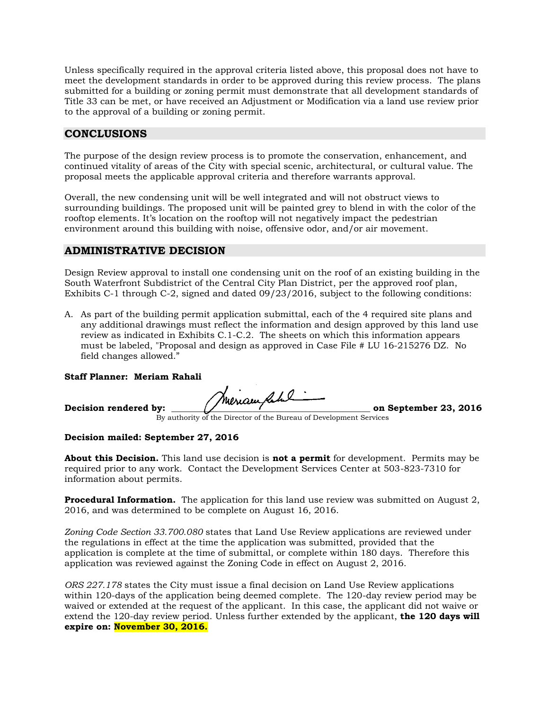Unless specifically required in the approval criteria listed above, this proposal does not have to meet the development standards in order to be approved during this review process. The plans submitted for a building or zoning permit must demonstrate that all development standards of Title 33 can be met, or have received an Adjustment or Modification via a land use review prior to the approval of a building or zoning permit.

# **CONCLUSIONS**

The purpose of the design review process is to promote the conservation, enhancement, and continued vitality of areas of the City with special scenic, architectural, or cultural value. The proposal meets the applicable approval criteria and therefore warrants approval.

Overall, the new condensing unit will be well integrated and will not obstruct views to surrounding buildings. The proposed unit will be painted grey to blend in with the color of the rooftop elements. It's location on the rooftop will not negatively impact the pedestrian environment around this building with noise, offensive odor, and/or air movement.

# **ADMINISTRATIVE DECISION**

Design Review approval to install one condensing unit on the roof of an existing building in the South Waterfront Subdistrict of the Central City Plan District, per the approved roof plan, Exhibits C-1 through C-2, signed and dated 09/23/2016, subject to the following conditions:

A. As part of the building permit application submittal, each of the 4 required site plans and any additional drawings must reflect the information and design approved by this land use review as indicated in Exhibits C.1-C.2. The sheets on which this information appears must be labeled, "Proposal and design as approved in Case File # LU 16-215276 DZ. No field changes allowed."

#### **Staff Planner: Meriam Rahali**

Decision rendered by: **We read that the contract of the Contract of September 23, 2016** By authority of the Director of the Bureau of Development Services

**Decision mailed: September 27, 2016**

**About this Decision.** This land use decision is **not a permit** for development. Permits may be required prior to any work. Contact the Development Services Center at 503-823-7310 for information about permits.

**Procedural Information.** The application for this land use review was submitted on August 2, 2016, and was determined to be complete on August 16, 2016.

*Zoning Code Section 33.700.080* states that Land Use Review applications are reviewed under the regulations in effect at the time the application was submitted, provided that the application is complete at the time of submittal, or complete within 180 days. Therefore this application was reviewed against the Zoning Code in effect on August 2, 2016.

*ORS 227.178* states the City must issue a final decision on Land Use Review applications within 120-days of the application being deemed complete. The 120-day review period may be waived or extended at the request of the applicant. In this case, the applicant did not waive or extend the 120-day review period. Unless further extended by the applicant, **the 120 days will expire on: November 30, 2016.**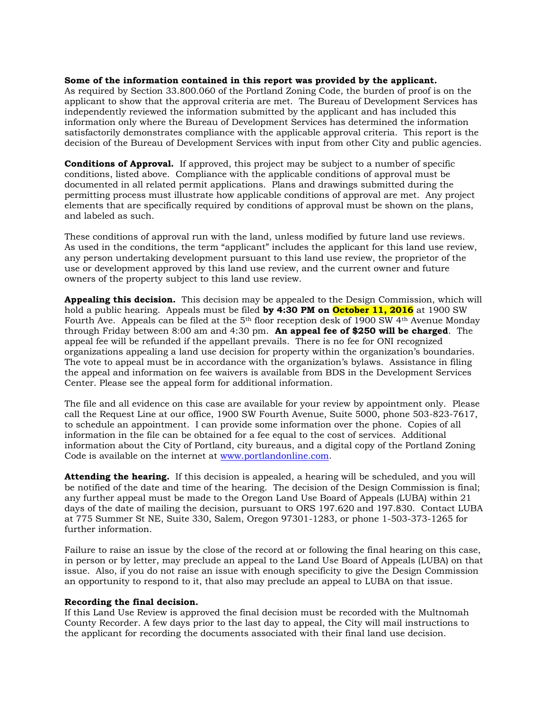#### **Some of the information contained in this report was provided by the applicant.**

As required by Section 33.800.060 of the Portland Zoning Code, the burden of proof is on the applicant to show that the approval criteria are met. The Bureau of Development Services has independently reviewed the information submitted by the applicant and has included this information only where the Bureau of Development Services has determined the information satisfactorily demonstrates compliance with the applicable approval criteria. This report is the decision of the Bureau of Development Services with input from other City and public agencies.

**Conditions of Approval.** If approved, this project may be subject to a number of specific conditions, listed above. Compliance with the applicable conditions of approval must be documented in all related permit applications. Plans and drawings submitted during the permitting process must illustrate how applicable conditions of approval are met. Any project elements that are specifically required by conditions of approval must be shown on the plans, and labeled as such.

These conditions of approval run with the land, unless modified by future land use reviews. As used in the conditions, the term "applicant" includes the applicant for this land use review, any person undertaking development pursuant to this land use review, the proprietor of the use or development approved by this land use review, and the current owner and future owners of the property subject to this land use review.

**Appealing this decision.** This decision may be appealed to the Design Commission, which will hold a public hearing. Appeals must be filed **by 4:30 PM on October 11, 2016** at 1900 SW Fourth Ave. Appeals can be filed at the 5<sup>th</sup> floor reception desk of 1900 SW 4<sup>th</sup> Avenue Monday through Friday between 8:00 am and 4:30 pm. **An appeal fee of \$250 will be charged**. The appeal fee will be refunded if the appellant prevails. There is no fee for ONI recognized organizations appealing a land use decision for property within the organization's boundaries. The vote to appeal must be in accordance with the organization's bylaws. Assistance in filing the appeal and information on fee waivers is available from BDS in the Development Services Center. Please see the appeal form for additional information.

The file and all evidence on this case are available for your review by appointment only. Please call the Request Line at our office, 1900 SW Fourth Avenue, Suite 5000, phone 503-823-7617, to schedule an appointment. I can provide some information over the phone. Copies of all information in the file can be obtained for a fee equal to the cost of services. Additional information about the City of Portland, city bureaus, and a digital copy of the Portland Zoning Code is available on the internet at [www.portlandonline.com.](http://www.ci.portland.or.us/)

**Attending the hearing.** If this decision is appealed, a hearing will be scheduled, and you will be notified of the date and time of the hearing. The decision of the Design Commission is final; any further appeal must be made to the Oregon Land Use Board of Appeals (LUBA) within 21 days of the date of mailing the decision, pursuant to ORS 197.620 and 197.830. Contact LUBA at 775 Summer St NE, Suite 330, Salem, Oregon 97301-1283, or phone 1-503-373-1265 for further information.

Failure to raise an issue by the close of the record at or following the final hearing on this case, in person or by letter, may preclude an appeal to the Land Use Board of Appeals (LUBA) on that issue. Also, if you do not raise an issue with enough specificity to give the Design Commission an opportunity to respond to it, that also may preclude an appeal to LUBA on that issue.

#### **Recording the final decision.**

If this Land Use Review is approved the final decision must be recorded with the Multnomah County Recorder. A few days prior to the last day to appeal, the City will mail instructions to the applicant for recording the documents associated with their final land use decision.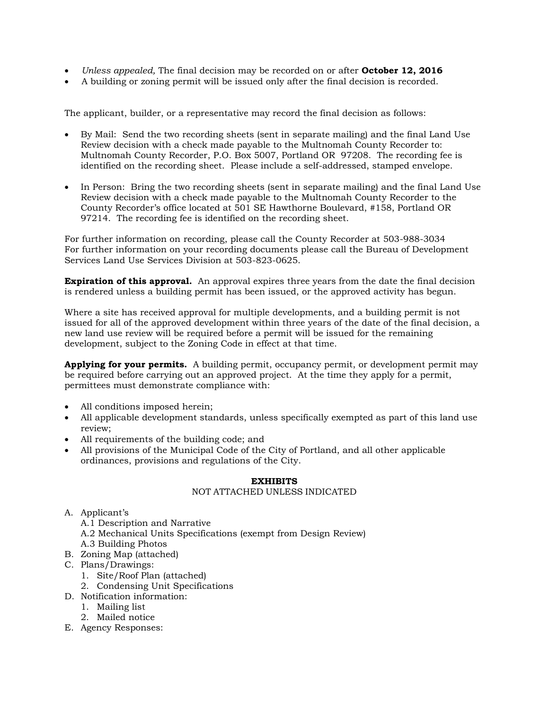- *Unless appealed,* The final decision may be recorded on or after **October 12, 2016**
- A building or zoning permit will be issued only after the final decision is recorded.

The applicant, builder, or a representative may record the final decision as follows:

- By Mail: Send the two recording sheets (sent in separate mailing) and the final Land Use Review decision with a check made payable to the Multnomah County Recorder to: Multnomah County Recorder, P.O. Box 5007, Portland OR 97208. The recording fee is identified on the recording sheet. Please include a self-addressed, stamped envelope.
- In Person: Bring the two recording sheets (sent in separate mailing) and the final Land Use Review decision with a check made payable to the Multnomah County Recorder to the County Recorder's office located at 501 SE Hawthorne Boulevard, #158, Portland OR 97214. The recording fee is identified on the recording sheet.

For further information on recording, please call the County Recorder at 503-988-3034 For further information on your recording documents please call the Bureau of Development Services Land Use Services Division at 503-823-0625.

**Expiration of this approval.** An approval expires three years from the date the final decision is rendered unless a building permit has been issued, or the approved activity has begun.

Where a site has received approval for multiple developments, and a building permit is not issued for all of the approved development within three years of the date of the final decision, a new land use review will be required before a permit will be issued for the remaining development, subject to the Zoning Code in effect at that time.

**Applying for your permits.** A building permit, occupancy permit, or development permit may be required before carrying out an approved project. At the time they apply for a permit, permittees must demonstrate compliance with:

- All conditions imposed herein;
- All applicable development standards, unless specifically exempted as part of this land use review;
- All requirements of the building code; and
- All provisions of the Municipal Code of the City of Portland, and all other applicable ordinances, provisions and regulations of the City.

#### **EXHIBITS**

# NOT ATTACHED UNLESS INDICATED

- A. Applicant's
	- A.1 Description and Narrative
	- A.2 Mechanical Units Specifications (exempt from Design Review)
	- A.3 Building Photos
- B. Zoning Map (attached)
- C. Plans/Drawings:
	- 1. Site/Roof Plan (attached)
	- 2. Condensing Unit Specifications
- D. Notification information:
	- 1. Mailing list
	- 2. Mailed notice
- E. Agency Responses: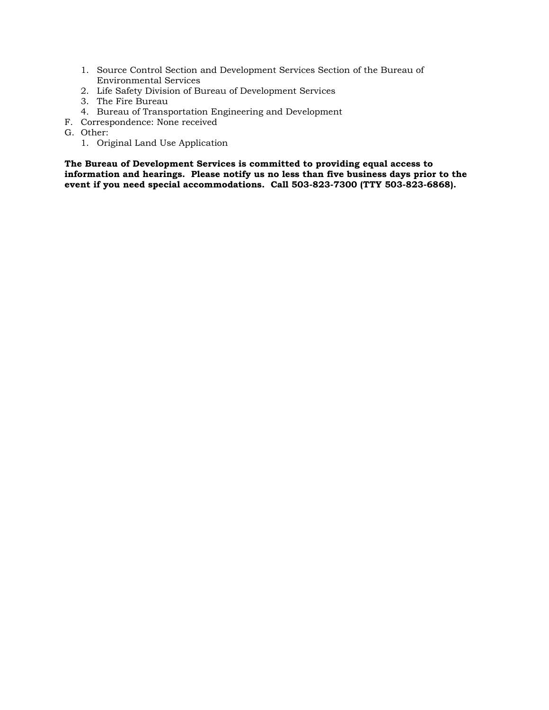- 1. Source Control Section and Development Services Section of the Bureau of Environmental Services
- 2. Life Safety Division of Bureau of Development Services
- 3. The Fire Bureau
- 4. Bureau of Transportation Engineering and Development
- F. Correspondence: None received
- G. Other:
	- 1. Original Land Use Application

**The Bureau of Development Services is committed to providing equal access to information and hearings. Please notify us no less than five business days prior to the event if you need special accommodations. Call 503-823-7300 (TTY 503-823-6868).**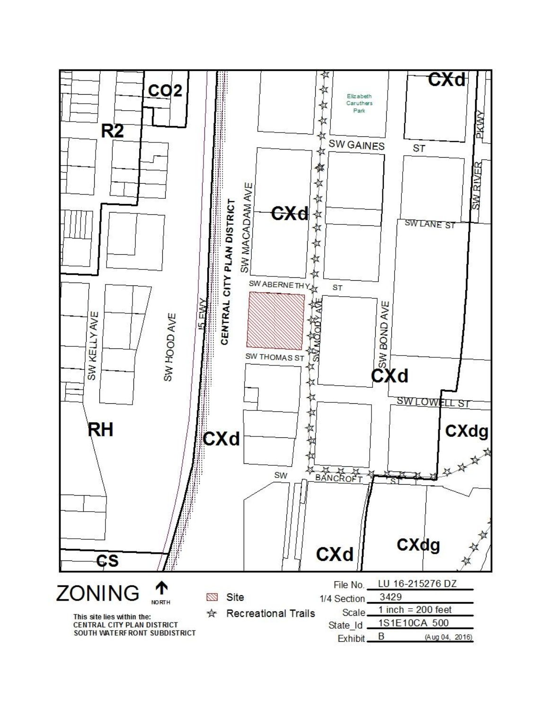